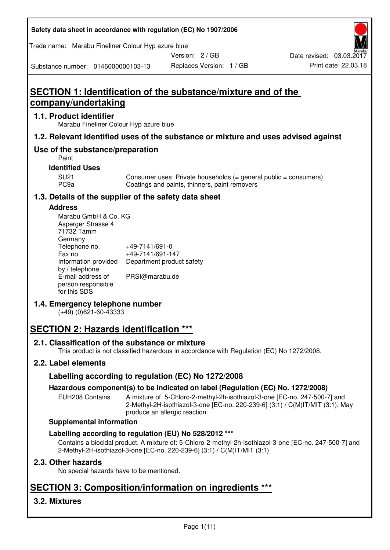| Safety data sheet in accordance with regulation (EC) No 1907/2006 |  |
|-------------------------------------------------------------------|--|
|-------------------------------------------------------------------|--|

Trade name: Marabu Fineliner Colour Hyp azure blue

Version: 2 / GB

Substance number: 0146000000103-13

# **SECTION 1: Identification of the substance/mixture and of the company/undertaking**

### **1.1. Product identifier**

Marabu Fineliner Colour Hyp azure blue

## **1.2. Relevant identified uses of the substance or mixture and uses advised against**

## **Use of the substance/preparation**

Paint

#### **Identified Uses**

SU21 Consumer uses: Private households (= general public = consumers)<br>PC9a Coatings and paints, thinners, paint removers Coatings and paints, thinners, paint removers

## **1.3. Details of the supplier of the safety data sheet**

#### **Address**

| Marabu GmbH & Co. KG |                           |
|----------------------|---------------------------|
| Asperger Strasse 4   |                           |
| 71732 Tamm           |                           |
| Germany              |                           |
| Telephone no.        | +49-7141/691-0            |
| Fax no.              | +49-7141/691-147          |
| Information provided | Department product safety |
| by / telephone       |                           |
| E-mail address of    | PRSI@marabu.de            |
| person responsible   |                           |
| for this SDS         |                           |

## **1.4. Emergency telephone number**

(+49) (0)621-60-43333

# **SECTION 2: Hazards identification \*\*\***

## **2.1. Classification of the substance or mixture**

This product is not classified hazardous in accordance with Regulation (EC) No 1272/2008.

## **2.2. Label elements**

## **Labelling according to regulation (EC) No 1272/2008**

## **Hazardous component(s) to be indicated on label (Regulation (EC) No. 1272/2008)**

EUH208 Contains A mixture of: 5-Chloro-2-methyl-2h-isothiazol-3-one [EC-no. 247-500-7] and 2-Methyl-2H-isothiazol-3-one [EC-no. 220-239-6] (3:1) / C(M)IT/MIT (3:1), May produce an allergic reaction.

#### **Supplemental information**

## **Labelling according to regulation (EU) No 528/2012 \*\*\***

Contains a biocidal product. A mixture of: 5-Chloro-2-methyl-2h-isothiazol-3-one [EC-no. 247-500-7] and 2-Methyl-2H-isothiazol-3-one [EC-no. 220-239-6] (3:1) / C(M)IT/MIT (3:1)

## **2.3. Other hazards**

No special hazards have to be mentioned.

# **SECTION 3: Composition/information on ingredients \*\*\***

## **3.2. Mixtures**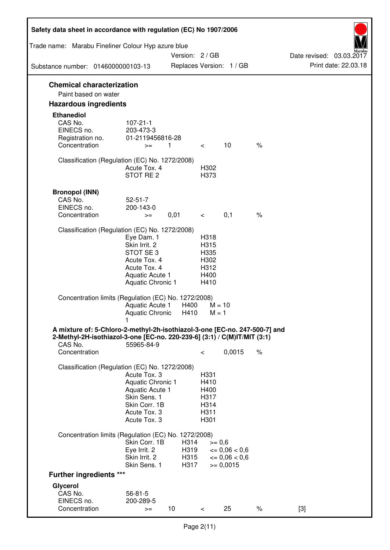| Safety data sheet in accordance with regulation (EC) No 1907/2006                                                                                                 |                                                                                                                       |                      |                                                      |                                                                   |               |                          |
|-------------------------------------------------------------------------------------------------------------------------------------------------------------------|-----------------------------------------------------------------------------------------------------------------------|----------------------|------------------------------------------------------|-------------------------------------------------------------------|---------------|--------------------------|
| Trade name: Marabu Fineliner Colour Hyp azure blue                                                                                                                |                                                                                                                       | Version: 2 / GB      |                                                      |                                                                   |               | Date revised: 03.03.2017 |
| Substance number: 0146000000103-13                                                                                                                                |                                                                                                                       |                      |                                                      | Replaces Version: 1 / GB                                          |               | Print date: 22.03.18     |
| <b>Chemical characterization</b><br>Paint based on water                                                                                                          |                                                                                                                       |                      |                                                      |                                                                   |               |                          |
| <b>Hazardous ingredients</b>                                                                                                                                      |                                                                                                                       |                      |                                                      |                                                                   |               |                          |
| <b>Ethanediol</b><br>CAS No.<br>EINECS no.<br>Registration no.<br>Concentration                                                                                   | $107 - 21 - 1$<br>203-473-3<br>01-2119456816-28<br>$>=$                                                               | $\mathbf{1}$         | $\lt$                                                | 10                                                                | $\frac{1}{6}$ |                          |
| Classification (Regulation (EC) No. 1272/2008)                                                                                                                    | Acute Tox. 4<br>STOT RE <sub>2</sub>                                                                                  |                      | H302<br>H373                                         |                                                                   |               |                          |
| <b>Bronopol (INN)</b><br>CAS No.<br>EINECS no.<br>Concentration                                                                                                   | $52 - 51 - 7$<br>200-143-0<br>$>=$                                                                                    | 0,01                 | $\lt$                                                | 0,1                                                               | $\%$          |                          |
| Classification (Regulation (EC) No. 1272/2008)                                                                                                                    | Eye Dam. 1<br>Skin Irrit. 2<br>STOT SE3<br>Acute Tox. 4<br>Acute Tox. 4<br>Aquatic Acute 1<br>Aquatic Chronic 1       |                      | H318<br>H315<br>H335<br>H302<br>H312<br>H400<br>H410 |                                                                   |               |                          |
| Concentration limits (Regulation (EC) No. 1272/2008)                                                                                                              | Aquatic Acute 1<br><b>Aquatic Chronic</b>                                                                             | H400<br>H410         | $M = 10$<br>$M = 1$                                  |                                                                   |               |                          |
| A mixture of: 5-Chloro-2-methyl-2h-isothiazol-3-one [EC-no. 247-500-7] and<br>2-Methyl-2H-isothiazol-3-one [EC-no. 220-239-6] (3:1) / C(M)IT/MIT (3:1)<br>CAS No. | 55965-84-9                                                                                                            |                      |                                                      |                                                                   |               |                          |
| Concentration                                                                                                                                                     |                                                                                                                       |                      | $\,<\,$                                              | 0,0015                                                            | $\%$          |                          |
| Classification (Regulation (EC) No. 1272/2008)                                                                                                                    | Acute Tox, 3<br>Aquatic Chronic 1<br>Aquatic Acute 1<br>Skin Sens. 1<br>Skin Corr. 1B<br>Acute Tox. 3<br>Acute Tox. 3 |                      | H331<br>H410<br>H400<br>H317<br>H314<br>H311<br>H301 |                                                                   |               |                          |
| Concentration limits (Regulation (EC) No. 1272/2008)                                                                                                              | Skin Corr. 1B                                                                                                         | H314                 | $>= 0,6$                                             |                                                                   |               |                          |
|                                                                                                                                                                   | Eye Irrit. 2<br>Skin Irrit. 2<br>Skin Sens. 1                                                                         | H319<br>H315<br>H317 |                                                      | $\epsilon = 0.06 < 0.6$<br>$\epsilon = 0.06 < 0.6$<br>$>= 0,0015$ |               |                          |
| <b>Further ingredients ***</b>                                                                                                                                    |                                                                                                                       |                      |                                                      |                                                                   |               |                          |
| Glycerol<br>CAS No.<br>EINECS no.                                                                                                                                 | $56 - 81 - 5$<br>200-289-5                                                                                            |                      |                                                      |                                                                   |               |                          |
| Concentration                                                                                                                                                     | $>=$                                                                                                                  | 10                   | $\,<\,$                                              | 25                                                                | $\%$          | $[3]$                    |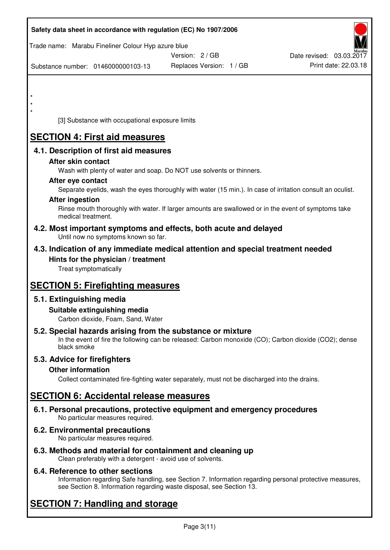|         | Safety data sheet in accordance with regulation (EC) No 1907/2006                                                                                                                                                                                                                                                                                                                                                                                                                                                                         |                          |                          |
|---------|-------------------------------------------------------------------------------------------------------------------------------------------------------------------------------------------------------------------------------------------------------------------------------------------------------------------------------------------------------------------------------------------------------------------------------------------------------------------------------------------------------------------------------------------|--------------------------|--------------------------|
|         | Trade name: Marabu Fineliner Colour Hyp azure blue                                                                                                                                                                                                                                                                                                                                                                                                                                                                                        | Version: 2 / GB          | Date revised: 03.03.2017 |
|         | Substance number: 0146000000103-13                                                                                                                                                                                                                                                                                                                                                                                                                                                                                                        | Replaces Version: 1 / GB | Print date: 22.03.18     |
| $\star$ | [3] Substance with occupational exposure limits                                                                                                                                                                                                                                                                                                                                                                                                                                                                                           |                          |                          |
|         | <b>SECTION 4: First aid measures</b>                                                                                                                                                                                                                                                                                                                                                                                                                                                                                                      |                          |                          |
|         | 4.1. Description of first aid measures<br>After skin contact<br>Wash with plenty of water and soap. Do NOT use solvents or thinners.<br>After eye contact<br>Separate eyelids, wash the eyes thoroughly with water (15 min.). In case of irritation consult an oculist.<br><b>After ingestion</b><br>Rinse mouth thoroughly with water. If larger amounts are swallowed or in the event of symptoms take<br>medical treatment.<br>4.2. Most important symptoms and effects, both acute and delayed<br>Until now no symptoms known so far. |                          |                          |
|         | 4.3. Indication of any immediate medical attention and special treatment needed<br>Hints for the physician / treatment<br>Treat symptomatically                                                                                                                                                                                                                                                                                                                                                                                           |                          |                          |
|         | <b>SECTION 5: Firefighting measures</b>                                                                                                                                                                                                                                                                                                                                                                                                                                                                                                   |                          |                          |
|         | 5.1. Extinguishing media<br>Suitable extinguishing media<br>Carbon dioxide, Foam, Sand, Water                                                                                                                                                                                                                                                                                                                                                                                                                                             |                          |                          |
|         | 5.2. Special hazards arising from the substance or mixture<br>In the event of fire the following can be released: Carbon monoxide (CO); Carbon dioxide (CO2); dense<br>black smoke                                                                                                                                                                                                                                                                                                                                                        |                          |                          |
|         | 5.3. Advice for firefighters<br><b>Other information</b><br>Collect contaminated fire-fighting water separately, must not be discharged into the drains.                                                                                                                                                                                                                                                                                                                                                                                  |                          |                          |
|         | <b>SECTION 6: Accidental release measures</b>                                                                                                                                                                                                                                                                                                                                                                                                                                                                                             |                          |                          |
|         | 6.1. Personal precautions, protective equipment and emergency procedures<br>No particular measures required.                                                                                                                                                                                                                                                                                                                                                                                                                              |                          |                          |
|         | 6.2. Environmental precautions<br>No particular measures required.                                                                                                                                                                                                                                                                                                                                                                                                                                                                        |                          |                          |
|         | 6.3. Methods and material for containment and cleaning up                                                                                                                                                                                                                                                                                                                                                                                                                                                                                 |                          |                          |

Clean preferably with a detergent - avoid use of solvents.

## **6.4. Reference to other sections**

Information regarding Safe handling, see Section 7. Information regarding personal protective measures, see Section 8. Information regarding waste disposal, see Section 13.

# **SECTION 7: Handling and storage**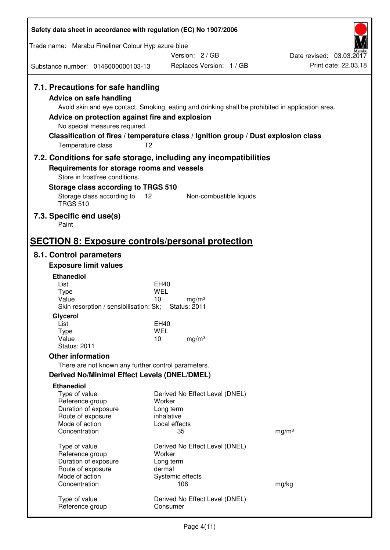| Safety data sheet in accordance with regulation (EC) No 1907/2006                                                                                                      |                                                                                                                                                                                                            |                          |
|------------------------------------------------------------------------------------------------------------------------------------------------------------------------|------------------------------------------------------------------------------------------------------------------------------------------------------------------------------------------------------------|--------------------------|
| Trade name: Marabu Fineliner Colour Hyp azure blue                                                                                                                     |                                                                                                                                                                                                            |                          |
|                                                                                                                                                                        | Version: 2 / GB                                                                                                                                                                                            | Date revised: 03.03.2017 |
| Substance number: 0146000000103-13                                                                                                                                     | Replaces Version: 1 / GB                                                                                                                                                                                   | Print date: 22.03.18     |
| 7.1. Precautions for safe handling<br>Advice on safe handling<br>Advice on protection against fire and explosion<br>No special measures required.<br>Temperature class | Avoid skin and eye contact. Smoking, eating and drinking shall be prohibited in application area.<br>Classification of fires / temperature class / Ignition group / Dust explosion class<br>T <sub>2</sub> |                          |
|                                                                                                                                                                        | 7.2. Conditions for safe storage, including any incompatibilities                                                                                                                                          |                          |
| Requirements for storage rooms and vessels<br>Store in frostfree conditions.                                                                                           |                                                                                                                                                                                                            |                          |
| Storage class according to TRGS 510                                                                                                                                    |                                                                                                                                                                                                            |                          |
| Storage class according to<br><b>TRGS 510</b>                                                                                                                          | 12<br>Non-combustible liquids                                                                                                                                                                              |                          |
| 7.3. Specific end use(s)<br>Paint                                                                                                                                      |                                                                                                                                                                                                            |                          |
|                                                                                                                                                                        | <b>SECTION 8: Exposure controls/personal protection</b>                                                                                                                                                    |                          |
| 8.1. Control parameters                                                                                                                                                |                                                                                                                                                                                                            |                          |
| <b>Exposure limit values</b>                                                                                                                                           |                                                                                                                                                                                                            |                          |
| <b>Ethanediol</b>                                                                                                                                                      |                                                                                                                                                                                                            |                          |
| List<br><b>Type</b>                                                                                                                                                    | EH40<br><b>WEL</b>                                                                                                                                                                                         |                          |
| Value                                                                                                                                                                  | 10<br>mg/m <sup>3</sup>                                                                                                                                                                                    |                          |
| Skin resorption / sensibilisation: Sk;<br>Glycerol                                                                                                                     | <b>Status: 2011</b>                                                                                                                                                                                        |                          |
| List                                                                                                                                                                   | EH40                                                                                                                                                                                                       |                          |
| Type                                                                                                                                                                   | <b>WEL</b>                                                                                                                                                                                                 |                          |
| Value<br><b>Status: 2011</b>                                                                                                                                           | 10<br>mg/m <sup>3</sup>                                                                                                                                                                                    |                          |
| <b>Other information</b>                                                                                                                                               |                                                                                                                                                                                                            |                          |
| There are not known any further control parameters.                                                                                                                    |                                                                                                                                                                                                            |                          |
| <b>Derived No/Minimal Effect Levels (DNEL/DMEL)</b>                                                                                                                    |                                                                                                                                                                                                            |                          |
| <b>Ethanediol</b><br>Type of value<br>Reference group<br>Duration of exposure<br>Route of exposure                                                                     | Derived No Effect Level (DNEL)<br>Worker<br>Long term<br>inhalative                                                                                                                                        |                          |
| Mode of action<br>Concentration                                                                                                                                        | Local effects<br>35                                                                                                                                                                                        | mg/m <sup>3</sup>        |
| Type of value<br>Reference group<br>Duration of exposure<br>Route of exposure<br>Mode of action                                                                        | Derived No Effect Level (DNEL)<br>Worker<br>Long term<br>dermal                                                                                                                                            |                          |
| Concentration                                                                                                                                                          | Systemic effects<br>106                                                                                                                                                                                    | mg/kg                    |
| Type of value<br>Reference group                                                                                                                                       | Derived No Effect Level (DNEL)<br>Consumer                                                                                                                                                                 |                          |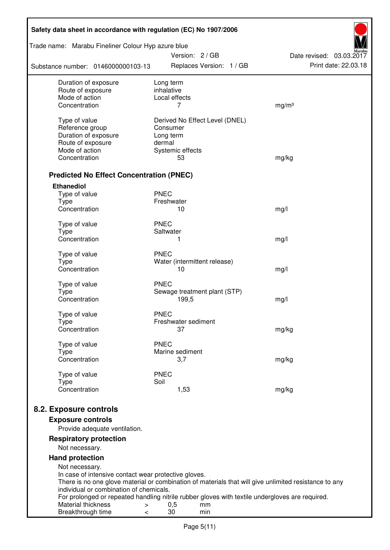| Safety data sheet in accordance with regulation (EC) No 1907/2006                                                                                             |                         |                     |                                |                          |
|---------------------------------------------------------------------------------------------------------------------------------------------------------------|-------------------------|---------------------|--------------------------------|--------------------------|
| Trade name: Marabu Fineliner Colour Hyp azure blue                                                                                                            |                         |                     | Version: 2 / GB                | Date revised: 03.03.2017 |
| Substance number: 0146000000103-13                                                                                                                            |                         |                     | Replaces Version: 1 / GB       | Print date: 22.03.18     |
| Duration of exposure<br>Route of exposure                                                                                                                     | Long term<br>inhalative |                     |                                |                          |
| Mode of action                                                                                                                                                | Local effects           |                     |                                |                          |
| Concentration                                                                                                                                                 |                         | 7                   |                                | mg/m <sup>3</sup>        |
| Type of value                                                                                                                                                 |                         |                     | Derived No Effect Level (DNEL) |                          |
| Reference group                                                                                                                                               | Consumer                |                     |                                |                          |
| Duration of exposure                                                                                                                                          | Long term               |                     |                                |                          |
| Route of exposure                                                                                                                                             | dermal                  |                     |                                |                          |
| Mode of action                                                                                                                                                |                         | Systemic effects    |                                |                          |
| Concentration                                                                                                                                                 |                         | 53                  |                                | mg/kg                    |
| <b>Predicted No Effect Concentration (PNEC)</b>                                                                                                               |                         |                     |                                |                          |
| <b>Ethanediol</b>                                                                                                                                             |                         |                     |                                |                          |
| Type of value                                                                                                                                                 | <b>PNEC</b>             |                     |                                |                          |
| <b>Type</b><br>Concentration                                                                                                                                  | Freshwater              | 10                  |                                | mg/l                     |
|                                                                                                                                                               |                         |                     |                                |                          |
| Type of value                                                                                                                                                 | <b>PNEC</b>             |                     |                                |                          |
| <b>Type</b>                                                                                                                                                   | Saltwater               |                     |                                |                          |
| Concentration                                                                                                                                                 |                         | 1                   |                                | mg/l                     |
| Type of value                                                                                                                                                 | <b>PNEC</b>             |                     |                                |                          |
| <b>Type</b>                                                                                                                                                   |                         |                     | Water (intermittent release)   |                          |
| Concentration                                                                                                                                                 |                         | 10                  |                                | mg/l                     |
| Type of value                                                                                                                                                 | <b>PNEC</b>             |                     |                                |                          |
| <b>Type</b>                                                                                                                                                   |                         |                     | Sewage treatment plant (STP)   |                          |
| Concentration                                                                                                                                                 |                         | 199,5               |                                | mg/l                     |
| Type of value                                                                                                                                                 | <b>PNEC</b>             |                     |                                |                          |
| Type                                                                                                                                                          |                         | Freshwater sediment |                                |                          |
| Concentration                                                                                                                                                 |                         | 37                  |                                | mg/kg                    |
| Type of value                                                                                                                                                 | <b>PNEC</b>             |                     |                                |                          |
| Type                                                                                                                                                          |                         | Marine sediment     |                                |                          |
| Concentration                                                                                                                                                 |                         | 3,7                 |                                | mg/kg                    |
| Type of value                                                                                                                                                 | <b>PNEC</b>             |                     |                                |                          |
| <b>Type</b>                                                                                                                                                   | Soil                    |                     |                                |                          |
| Concentration                                                                                                                                                 |                         | 1,53                |                                | mg/kg                    |
| 8.2. Exposure controls                                                                                                                                        |                         |                     |                                |                          |
| <b>Exposure controls</b>                                                                                                                                      |                         |                     |                                |                          |
| Provide adequate ventilation.                                                                                                                                 |                         |                     |                                |                          |
| <b>Respiratory protection</b>                                                                                                                                 |                         |                     |                                |                          |
| Not necessary.                                                                                                                                                |                         |                     |                                |                          |
| <b>Hand protection</b>                                                                                                                                        |                         |                     |                                |                          |
| Not necessary.                                                                                                                                                |                         |                     |                                |                          |
| In case of intensive contact wear protective gloves.<br>There is no one glove material or combination of materials that will give unlimited resistance to any |                         |                     |                                |                          |
| individual or combination of chemicals.                                                                                                                       |                         |                     |                                |                          |
| For prolonged or repeated handling nitrile rubber gloves with textile undergloves are required.                                                               |                         |                     |                                |                          |
| Material thickness<br>$\, > \,$                                                                                                                               | 0,5                     |                     | mm                             |                          |
| Breakthrough time<br>$\,<\,$                                                                                                                                  | 30                      |                     | min                            |                          |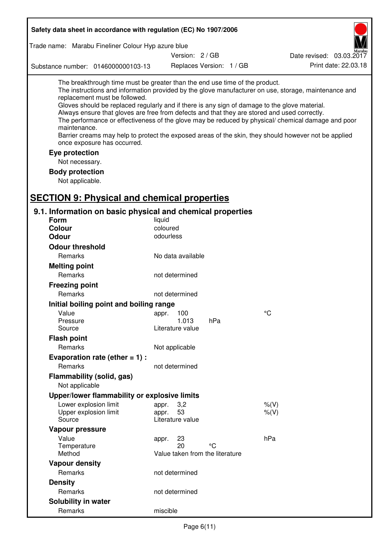| Safety data sheet in accordance with regulation (EC) No 1907/2006                                                                                                                                                                                                                                                                                                                                                          |           |                                             |     |                                                                                                                                                                                                                                                                                                                    |
|----------------------------------------------------------------------------------------------------------------------------------------------------------------------------------------------------------------------------------------------------------------------------------------------------------------------------------------------------------------------------------------------------------------------------|-----------|---------------------------------------------|-----|--------------------------------------------------------------------------------------------------------------------------------------------------------------------------------------------------------------------------------------------------------------------------------------------------------------------|
| Trade name: Marabu Fineliner Colour Hyp azure blue                                                                                                                                                                                                                                                                                                                                                                         |           |                                             |     |                                                                                                                                                                                                                                                                                                                    |
|                                                                                                                                                                                                                                                                                                                                                                                                                            |           | Version: 2 / GB                             |     | Date revised: 03.03.2017                                                                                                                                                                                                                                                                                           |
| Substance number: 0146000000103-13                                                                                                                                                                                                                                                                                                                                                                                         |           | Replaces Version: 1 / GB                    |     | Print date: 22.03.18                                                                                                                                                                                                                                                                                               |
| The breakthrough time must be greater than the end use time of the product.<br>replacement must be followed.<br>Gloves should be replaced regularly and if there is any sign of damage to the glove material.<br>Always ensure that gloves are free from defects and that they are stored and used correctly.<br>maintenance.<br>once exposure has occurred.<br>Eye protection<br>Not necessary.<br><b>Body protection</b> |           |                                             |     | The instructions and information provided by the glove manufacturer on use, storage, maintenance and<br>The performance or effectiveness of the glove may be reduced by physical/ chemical damage and poor<br>Barrier creams may help to protect the exposed areas of the skin, they should however not be applied |
| Not applicable.                                                                                                                                                                                                                                                                                                                                                                                                            |           |                                             |     |                                                                                                                                                                                                                                                                                                                    |
| <b>SECTION 9: Physical and chemical properties</b>                                                                                                                                                                                                                                                                                                                                                                         |           |                                             |     |                                                                                                                                                                                                                                                                                                                    |
| 9.1. Information on basic physical and chemical properties                                                                                                                                                                                                                                                                                                                                                                 |           |                                             |     |                                                                                                                                                                                                                                                                                                                    |
| <b>Form</b>                                                                                                                                                                                                                                                                                                                                                                                                                | liquid    |                                             |     |                                                                                                                                                                                                                                                                                                                    |
| <b>Colour</b>                                                                                                                                                                                                                                                                                                                                                                                                              | coloured  |                                             |     |                                                                                                                                                                                                                                                                                                                    |
| <b>Odour</b>                                                                                                                                                                                                                                                                                                                                                                                                               | odourless |                                             |     |                                                                                                                                                                                                                                                                                                                    |
| <b>Odour threshold</b>                                                                                                                                                                                                                                                                                                                                                                                                     |           |                                             |     |                                                                                                                                                                                                                                                                                                                    |
| Remarks                                                                                                                                                                                                                                                                                                                                                                                                                    |           | No data available                           |     |                                                                                                                                                                                                                                                                                                                    |
| <b>Melting point</b>                                                                                                                                                                                                                                                                                                                                                                                                       |           |                                             |     |                                                                                                                                                                                                                                                                                                                    |
| Remarks                                                                                                                                                                                                                                                                                                                                                                                                                    |           | not determined                              |     |                                                                                                                                                                                                                                                                                                                    |
| <b>Freezing point</b>                                                                                                                                                                                                                                                                                                                                                                                                      |           |                                             |     |                                                                                                                                                                                                                                                                                                                    |
| Remarks                                                                                                                                                                                                                                                                                                                                                                                                                    |           | not determined                              |     |                                                                                                                                                                                                                                                                                                                    |
| Initial boiling point and boiling range                                                                                                                                                                                                                                                                                                                                                                                    |           |                                             |     |                                                                                                                                                                                                                                                                                                                    |
| Value                                                                                                                                                                                                                                                                                                                                                                                                                      | appr.     | 100                                         |     | $\rm ^{\circ}C$                                                                                                                                                                                                                                                                                                    |
| Pressure<br>Source                                                                                                                                                                                                                                                                                                                                                                                                         |           | 1.013<br>Literature value                   | hPa |                                                                                                                                                                                                                                                                                                                    |
| <b>Flash point</b>                                                                                                                                                                                                                                                                                                                                                                                                         |           |                                             |     |                                                                                                                                                                                                                                                                                                                    |
| Remarks                                                                                                                                                                                                                                                                                                                                                                                                                    |           | Not applicable                              |     |                                                                                                                                                                                                                                                                                                                    |
| Evaporation rate (ether $= 1$ ) :                                                                                                                                                                                                                                                                                                                                                                                          |           |                                             |     |                                                                                                                                                                                                                                                                                                                    |
| Remarks                                                                                                                                                                                                                                                                                                                                                                                                                    |           | not determined                              |     |                                                                                                                                                                                                                                                                                                                    |
| Flammability (solid, gas)<br>Not applicable                                                                                                                                                                                                                                                                                                                                                                                |           |                                             |     |                                                                                                                                                                                                                                                                                                                    |
| Upper/lower flammability or explosive limits                                                                                                                                                                                                                                                                                                                                                                               |           |                                             |     |                                                                                                                                                                                                                                                                                                                    |
| Lower explosion limit                                                                                                                                                                                                                                                                                                                                                                                                      | appr.     | 3,2                                         |     | $%$ (V)                                                                                                                                                                                                                                                                                                            |
| Upper explosion limit<br>Source                                                                                                                                                                                                                                                                                                                                                                                            | appr.     | 53<br>Literature value                      |     | $%$ (V)                                                                                                                                                                                                                                                                                                            |
| Vapour pressure                                                                                                                                                                                                                                                                                                                                                                                                            |           |                                             |     |                                                                                                                                                                                                                                                                                                                    |
| Value<br>Temperature<br>Method                                                                                                                                                                                                                                                                                                                                                                                             | appr.     | 23<br>20<br>Value taken from the literature | °C  | hPa                                                                                                                                                                                                                                                                                                                |
| <b>Vapour density</b>                                                                                                                                                                                                                                                                                                                                                                                                      |           |                                             |     |                                                                                                                                                                                                                                                                                                                    |
| Remarks                                                                                                                                                                                                                                                                                                                                                                                                                    |           | not determined                              |     |                                                                                                                                                                                                                                                                                                                    |
| <b>Density</b>                                                                                                                                                                                                                                                                                                                                                                                                             |           |                                             |     |                                                                                                                                                                                                                                                                                                                    |
| Remarks                                                                                                                                                                                                                                                                                                                                                                                                                    |           | not determined                              |     |                                                                                                                                                                                                                                                                                                                    |
| Solubility in water                                                                                                                                                                                                                                                                                                                                                                                                        |           |                                             |     |                                                                                                                                                                                                                                                                                                                    |
| Remarks                                                                                                                                                                                                                                                                                                                                                                                                                    | miscible  |                                             |     |                                                                                                                                                                                                                                                                                                                    |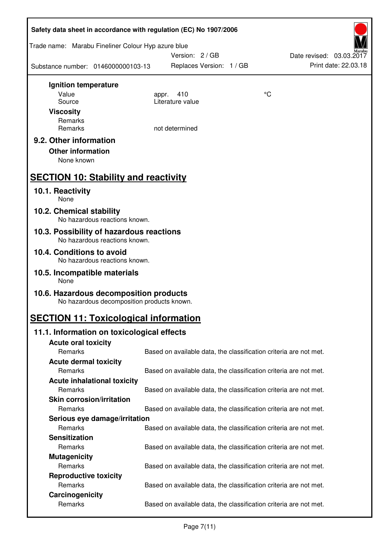| Safety data sheet in accordance with regulation (EC) No 1907/2006 |                                            |                                                                   |    |                          |
|-------------------------------------------------------------------|--------------------------------------------|-------------------------------------------------------------------|----|--------------------------|
| Trade name: Marabu Fineliner Colour Hyp azure blue                |                                            | Version: 2 / GB                                                   |    | Date revised: 03.03.2017 |
| Substance number: 0146000000103-13                                |                                            | Replaces Version: 1 / GB                                          |    | Print date: 22.03.18     |
| Ignition temperature                                              |                                            |                                                                   |    |                          |
| Value                                                             | appr.                                      | 410                                                               | °C |                          |
| Source                                                            |                                            | Literature value                                                  |    |                          |
| <b>Viscosity</b>                                                  |                                            |                                                                   |    |                          |
| Remarks                                                           |                                            |                                                                   |    |                          |
| Remarks                                                           |                                            | not determined                                                    |    |                          |
| 9.2. Other information                                            |                                            |                                                                   |    |                          |
| <b>Other information</b>                                          |                                            |                                                                   |    |                          |
| None known                                                        |                                            |                                                                   |    |                          |
| <b>SECTION 10: Stability and reactivity</b>                       |                                            |                                                                   |    |                          |
| 10.1. Reactivity<br>None                                          |                                            |                                                                   |    |                          |
| 10.2. Chemical stability<br>No hazardous reactions known.         |                                            |                                                                   |    |                          |
| 10.3. Possibility of hazardous reactions                          |                                            |                                                                   |    |                          |
| No hazardous reactions known.                                     |                                            |                                                                   |    |                          |
| 10.4. Conditions to avoid<br>No hazardous reactions known.        |                                            |                                                                   |    |                          |
| 10.5. Incompatible materials<br>None                              |                                            |                                                                   |    |                          |
| 10.6. Hazardous decomposition products                            | No hazardous decomposition products known. |                                                                   |    |                          |
| <b>SECTION 11: Toxicological information</b>                      |                                            |                                                                   |    |                          |
| 11.1. Information on toxicological effects                        |                                            |                                                                   |    |                          |
| <b>Acute oral toxicity</b>                                        |                                            |                                                                   |    |                          |
| Remarks                                                           |                                            | Based on available data, the classification criteria are not met. |    |                          |
| <b>Acute dermal toxicity</b>                                      |                                            |                                                                   |    |                          |
| Remarks                                                           |                                            | Based on available data, the classification criteria are not met. |    |                          |
| <b>Acute inhalational toxicity</b>                                |                                            |                                                                   |    |                          |
| Remarks                                                           |                                            | Based on available data, the classification criteria are not met. |    |                          |
| <b>Skin corrosion/irritation</b>                                  |                                            |                                                                   |    |                          |
| Remarks                                                           |                                            | Based on available data, the classification criteria are not met. |    |                          |
| Serious eye damage/irritation                                     |                                            |                                                                   |    |                          |
| Remarks                                                           |                                            | Based on available data, the classification criteria are not met. |    |                          |
| <b>Sensitization</b>                                              |                                            |                                                                   |    |                          |
| Remarks                                                           |                                            | Based on available data, the classification criteria are not met. |    |                          |
| <b>Mutagenicity</b>                                               |                                            |                                                                   |    |                          |
| Remarks                                                           |                                            | Based on available data, the classification criteria are not met. |    |                          |
| <b>Reproductive toxicity</b>                                      |                                            |                                                                   |    |                          |
| Remarks                                                           |                                            | Based on available data, the classification criteria are not met. |    |                          |
| Carcinogenicity                                                   |                                            |                                                                   |    |                          |
| Remarks                                                           |                                            | Based on available data, the classification criteria are not met. |    |                          |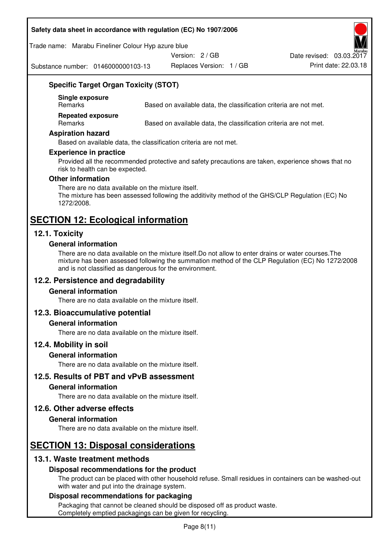#### **Safety data sheet in accordance with regulation (EC) No 1907/2006**

#### Trade name: Marabu Fineliner Colour Hyp azure blue

Version: 2 / GB

Substance number: 0146000000103-13

Replaces Version: 1 / GB Print date: 22.03.18 Date revised: 03.03.2017

# **Specific Target Organ Toxicity (STOT)**

**Single exposure** 

Based on available data, the classification criteria are not met.

**Repeated exposure** 

Remarks Based on available data, the classification criteria are not met.

#### **Aspiration hazard**

Based on available data, the classification criteria are not met.

#### **Experience in practice**

Provided all the recommended protective and safety precautions are taken, experience shows that no risk to health can be expected.

#### **Other information**

There are no data available on the mixture itself. The mixture has been assessed following the additivity method of the GHS/CLP Regulation (EC) No 1272/2008.

## **SECTION 12: Ecological information**

## **12.1. Toxicity**

#### **General information**

There are no data available on the mixture itself.Do not allow to enter drains or water courses.The mixture has been assessed following the summation method of the CLP Regulation (EC) No 1272/2008 and is not classified as dangerous for the environment.

## **12.2. Persistence and degradability**

#### **General information**

There are no data available on the mixture itself.

#### **12.3. Bioaccumulative potential**

#### **General information**

There are no data available on the mixture itself.

#### **12.4. Mobility in soil**

#### **General information**

There are no data available on the mixture itself.

**12.5. Results of PBT and vPvB assessment** 

#### **General information**

There are no data available on the mixture itself.

#### **12.6. Other adverse effects**

#### **General information**

There are no data available on the mixture itself.

# **SECTION 13: Disposal considerations**

## **13.1. Waste treatment methods**

#### **Disposal recommendations for the product**

The product can be placed with other household refuse. Small residues in containers can be washed-out with water and put into the drainage system.

#### **Disposal recommendations for packaging**

Packaging that cannot be cleaned should be disposed off as product waste. Completely emptied packagings can be given for recycling.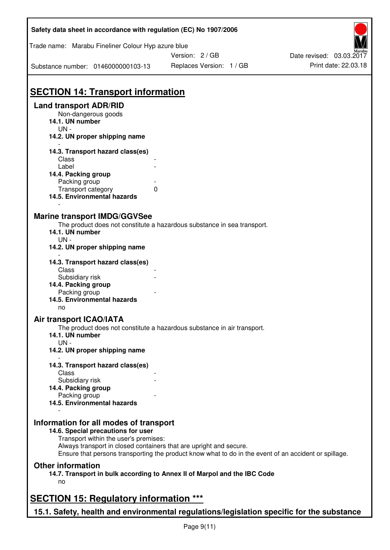| Safety data sheet in accordance with regulation (EC) No 1907/2006                         |                                                                                                       |                          |  |  |
|-------------------------------------------------------------------------------------------|-------------------------------------------------------------------------------------------------------|--------------------------|--|--|
| Trade name: Marabu Fineliner Colour Hyp azure blue                                        |                                                                                                       |                          |  |  |
|                                                                                           | Version: 2/GB                                                                                         | Date revised: 03.03.2017 |  |  |
| Substance number: 0146000000103-13                                                        | Replaces Version: 1 / GB                                                                              | Print date: 22.03.18     |  |  |
| <b>SECTION 14: Transport information</b>                                                  |                                                                                                       |                          |  |  |
| <b>Land transport ADR/RID</b>                                                             |                                                                                                       |                          |  |  |
| Non-dangerous goods<br>14.1. UN number<br>$UN -$                                          |                                                                                                       |                          |  |  |
| 14.2. UN proper shipping name                                                             |                                                                                                       |                          |  |  |
| 14.3. Transport hazard class(es)<br>Class                                                 |                                                                                                       |                          |  |  |
| Label                                                                                     |                                                                                                       |                          |  |  |
| 14.4. Packing group                                                                       |                                                                                                       |                          |  |  |
| Packing group<br>Transport category                                                       | 0                                                                                                     |                          |  |  |
| 14.5. Environmental hazards                                                               |                                                                                                       |                          |  |  |
| <b>Marine transport IMDG/GGVSee</b><br>14.1. UN number                                    | The product does not constitute a hazardous substance in sea transport.                               |                          |  |  |
| UN-<br>14.2. UN proper shipping name                                                      |                                                                                                       |                          |  |  |
| 14.3. Transport hazard class(es)<br>Class                                                 |                                                                                                       |                          |  |  |
| Subsidiary risk<br>14.4. Packing group                                                    |                                                                                                       |                          |  |  |
| Packing group                                                                             |                                                                                                       |                          |  |  |
| 14.5. Environmental hazards<br>no                                                         |                                                                                                       |                          |  |  |
| <b>Air transport ICAO/IATA</b>                                                            |                                                                                                       |                          |  |  |
| 14.1. UN number<br>$UN -$                                                                 | The product does not constitute a hazardous substance in air transport.                               |                          |  |  |
| 14.2. UN proper shipping name                                                             |                                                                                                       |                          |  |  |
| 14.3. Transport hazard class(es)                                                          |                                                                                                       |                          |  |  |
| Class<br>Subsidiary risk                                                                  |                                                                                                       |                          |  |  |
| 14.4. Packing group                                                                       |                                                                                                       |                          |  |  |
| Packing group                                                                             |                                                                                                       |                          |  |  |
| 14.5. Environmental hazards                                                               |                                                                                                       |                          |  |  |
| Information for all modes of transport<br>14.6. Special precautions for user              |                                                                                                       |                          |  |  |
| Transport within the user's premises:                                                     |                                                                                                       |                          |  |  |
| Always transport in closed containers that are upright and secure.                        | Ensure that persons transporting the product know what to do in the event of an accident or spillage. |                          |  |  |
| <b>Other information</b>                                                                  |                                                                                                       |                          |  |  |
| 14.7. Transport in bulk according to Annex II of Marpol and the IBC Code<br>no            |                                                                                                       |                          |  |  |
| <b>SECTION 15: Regulatory information ***</b>                                             |                                                                                                       |                          |  |  |
| 15.1. Safety, health and environmental regulations/legislation specific for the substance |                                                                                                       |                          |  |  |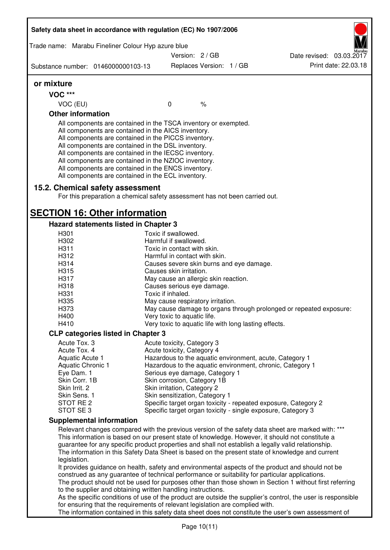| Trade name: Marabu Fineliner Colour Hyp azure blue                                                                                                                                                                                                                                                                                                                                                                                                                |                                                       |                          |                                                                                                              |
|-------------------------------------------------------------------------------------------------------------------------------------------------------------------------------------------------------------------------------------------------------------------------------------------------------------------------------------------------------------------------------------------------------------------------------------------------------------------|-------------------------------------------------------|--------------------------|--------------------------------------------------------------------------------------------------------------|
|                                                                                                                                                                                                                                                                                                                                                                                                                                                                   | Version: 2/GB                                         |                          | Date revised: 03.03.2017                                                                                     |
| Substance number: 0146000000103-13                                                                                                                                                                                                                                                                                                                                                                                                                                |                                                       | Replaces Version: 1 / GB | Print date: 22.03.18                                                                                         |
| or mixture                                                                                                                                                                                                                                                                                                                                                                                                                                                        |                                                       |                          |                                                                                                              |
| <b>VOC ***</b>                                                                                                                                                                                                                                                                                                                                                                                                                                                    |                                                       |                          |                                                                                                              |
| VOC (EU)                                                                                                                                                                                                                                                                                                                                                                                                                                                          | $\mathbf 0$                                           | $\%$                     |                                                                                                              |
| <b>Other information</b>                                                                                                                                                                                                                                                                                                                                                                                                                                          |                                                       |                          |                                                                                                              |
| All components are contained in the TSCA inventory or exempted.<br>All components are contained in the AICS inventory.<br>All components are contained in the PICCS inventory.<br>All components are contained in the DSL inventory.<br>All components are contained in the IECSC inventory.<br>All components are contained in the NZIOC inventory.<br>All components are contained in the ENCS inventory.<br>All components are contained in the ECL inventory. |                                                       |                          |                                                                                                              |
| 15.2. Chemical safety assessment<br>For this preparation a chemical safety assessment has not been carried out.                                                                                                                                                                                                                                                                                                                                                   |                                                       |                          |                                                                                                              |
| <b>SECTION 16: Other information</b>                                                                                                                                                                                                                                                                                                                                                                                                                              |                                                       |                          |                                                                                                              |
| Hazard statements listed in Chapter 3                                                                                                                                                                                                                                                                                                                                                                                                                             |                                                       |                          |                                                                                                              |
| H301                                                                                                                                                                                                                                                                                                                                                                                                                                                              | Toxic if swallowed.                                   |                          |                                                                                                              |
| H302                                                                                                                                                                                                                                                                                                                                                                                                                                                              | Harmful if swallowed.                                 |                          |                                                                                                              |
| H311                                                                                                                                                                                                                                                                                                                                                                                                                                                              | Toxic in contact with skin.                           |                          |                                                                                                              |
| H312                                                                                                                                                                                                                                                                                                                                                                                                                                                              | Harmful in contact with skin.                         |                          |                                                                                                              |
| H314                                                                                                                                                                                                                                                                                                                                                                                                                                                              | Causes severe skin burns and eye damage.              |                          |                                                                                                              |
| H315                                                                                                                                                                                                                                                                                                                                                                                                                                                              | Causes skin irritation.                               |                          |                                                                                                              |
| H317                                                                                                                                                                                                                                                                                                                                                                                                                                                              | May cause an allergic skin reaction.                  |                          |                                                                                                              |
| H318                                                                                                                                                                                                                                                                                                                                                                                                                                                              | Causes serious eye damage.                            |                          |                                                                                                              |
| H331                                                                                                                                                                                                                                                                                                                                                                                                                                                              | Toxic if inhaled.                                     |                          |                                                                                                              |
| H <sub>335</sub>                                                                                                                                                                                                                                                                                                                                                                                                                                                  | May cause respiratory irritation.                     |                          |                                                                                                              |
| H373                                                                                                                                                                                                                                                                                                                                                                                                                                                              |                                                       |                          | May cause damage to organs through prolonged or repeated exposure:                                           |
| H400                                                                                                                                                                                                                                                                                                                                                                                                                                                              | Very toxic to aquatic life.                           |                          |                                                                                                              |
| H410                                                                                                                                                                                                                                                                                                                                                                                                                                                              | Very toxic to aquatic life with long lasting effects. |                          |                                                                                                              |
| <b>CLP categories listed in Chapter 3</b>                                                                                                                                                                                                                                                                                                                                                                                                                         |                                                       |                          |                                                                                                              |
| Acute Tox. 3                                                                                                                                                                                                                                                                                                                                                                                                                                                      | Acute toxicity, Category 3                            |                          |                                                                                                              |
| Acute Tox. 4                                                                                                                                                                                                                                                                                                                                                                                                                                                      | Acute toxicity, Category 4                            |                          |                                                                                                              |
| Aquatic Acute 1                                                                                                                                                                                                                                                                                                                                                                                                                                                   |                                                       |                          | Hazardous to the aquatic environment, acute, Category 1                                                      |
| Aquatic Chronic 1                                                                                                                                                                                                                                                                                                                                                                                                                                                 |                                                       |                          | Hazardous to the aquatic environment, chronic, Category 1                                                    |
| Eye Dam. 1                                                                                                                                                                                                                                                                                                                                                                                                                                                        | Serious eye damage, Category 1                        |                          |                                                                                                              |
| Skin Corr. 1B                                                                                                                                                                                                                                                                                                                                                                                                                                                     | Skin corrosion, Category 1B                           |                          |                                                                                                              |
| Skin Irrit. 2                                                                                                                                                                                                                                                                                                                                                                                                                                                     | Skin irritation, Category 2                           |                          |                                                                                                              |
| Skin Sens. 1                                                                                                                                                                                                                                                                                                                                                                                                                                                      | Skin sensitization, Category 1                        |                          |                                                                                                              |
| STOT RE 2                                                                                                                                                                                                                                                                                                                                                                                                                                                         |                                                       |                          | Specific target organ toxicity - repeated exposure, Category 2                                               |
| STOT SE 3                                                                                                                                                                                                                                                                                                                                                                                                                                                         |                                                       |                          | Specific target organ toxicity - single exposure, Category 3                                                 |
| <b>Supplemental information</b>                                                                                                                                                                                                                                                                                                                                                                                                                                   |                                                       |                          |                                                                                                              |
|                                                                                                                                                                                                                                                                                                                                                                                                                                                                   |                                                       |                          | Relevant changes compared with the previous version of the safety data sheet are marked with: ***            |
| This information is based on our present state of knowledge. However, it should not constitute a                                                                                                                                                                                                                                                                                                                                                                  |                                                       |                          |                                                                                                              |
| guarantee for any specific product properties and shall not establish a legally valid relationship.                                                                                                                                                                                                                                                                                                                                                               |                                                       |                          |                                                                                                              |
|                                                                                                                                                                                                                                                                                                                                                                                                                                                                   |                                                       |                          | The information in this Safety Data Sheet is based on the present state of knowledge and current             |
| legislation.                                                                                                                                                                                                                                                                                                                                                                                                                                                      |                                                       |                          |                                                                                                              |
|                                                                                                                                                                                                                                                                                                                                                                                                                                                                   |                                                       |                          | It provides guidance on health, safety and environmental aspects of the product and should not be            |
| construed as any guarantee of technical performance or suitability for particular applications.                                                                                                                                                                                                                                                                                                                                                                   |                                                       |                          |                                                                                                              |
|                                                                                                                                                                                                                                                                                                                                                                                                                                                                   |                                                       |                          | The product should not be used for purposes other than those shown in Section 1 without first referring      |
|                                                                                                                                                                                                                                                                                                                                                                                                                                                                   |                                                       |                          |                                                                                                              |
| to the supplier and obtaining written handling instructions.                                                                                                                                                                                                                                                                                                                                                                                                      |                                                       |                          |                                                                                                              |
| for ensuring that the requirements of relevant legislation are complied with.                                                                                                                                                                                                                                                                                                                                                                                     |                                                       |                          | As the specific conditions of use of the product are outside the supplier's control, the user is responsible |